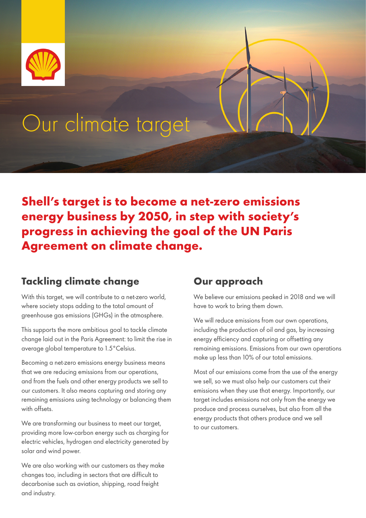

# Our climate target

**Shell's target is to become a net-zero emissions energy business by 2050, in step with society's progress in achieving the goal of the UN Paris Agreement on climate change.** 

# **Tackling climate change**

With this target, we will contribute to a net-zero world, where society stops adding to the total amount of greenhouse gas emissions (GHGs) in the atmosphere.

This supports the more ambitious goal to tackle climate change laid out in the Paris Agreement: to limit the rise in average global temperature to 1.5°Celsius.

Becoming a net-zero emissions energy business means that we are reducing emissions from our operations, and from the fuels and other energy products we sell to our customers. It also means capturing and storing any remaining emissions using technology or balancing them with offsets.

We are transforming our business to meet our target, providing more low-carbon energy such as charging for electric vehicles, hydrogen and electricity generated by solar and wind power.

We are also working with our customers as they make changes too, including in sectors that are difficult to decarbonise such as aviation, shipping, road freight and industry.

# **Our approach**

We believe our emissions peaked in 2018 and we will have to work to bring them down.

We will reduce emissions from our own operations, including the production of oil and gas, by increasing energy efficiency and capturing or offsetting any remaining emissions. Emissions from our own operations make up less than 10% of our total emissions.

Most of our emissions come from the use of the energy we sell, so we must also help our customers cut their emissions when they use that energy. Importantly, our target includes emissions not only from the energy we produce and process ourselves, but also from all the energy products that others produce and we sell to our customers.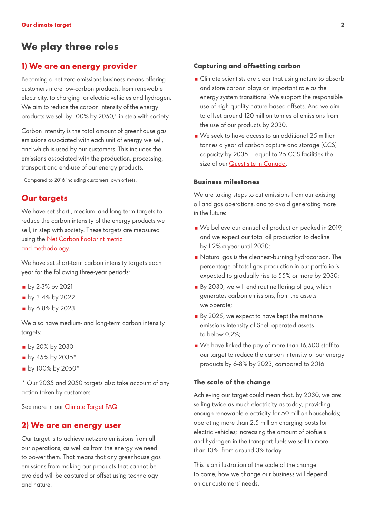# **We play three roles**

# **1) We are an energy provider**

Becoming a net-zero emissions business means offering customers more low-carbon products, from renewable electricity, to charging for electric vehicles and hydrogen. We aim to reduce the carbon intensity of the energy products we sell by 100% by 2050, $^1$  in step with society.

Carbon intensity is the total amount of greenhouse gas emissions associated with each unit of energy we sell, and which is used by our customers. This includes the emissions associated with the production, processing, transport and end-use of our energy products.

1 Compared to 2016 including customers' own offsets.

# **Our targets**

We have set short-, medium- and long-term targets to reduce the carbon intensity of the energy products we sell, in step with society. These targets are measured using the [Net Carbon Footprint metric](https://www.shell.com/energy-and-innovation/the-energy-future/what-is-shells-net-carbon-footprint-ambition/faq/_jcr_content/par/textimage_1422873874_1315597295.stream/1610614593601/913649aad10a958c5d3ad22156cb599fc6f2c6aa/the-net-carbon-footprint-model.pdf)  [and methodology.](https://www.shell.com/energy-and-innovation/the-energy-future/what-is-shells-net-carbon-footprint-ambition/faq/_jcr_content/par/textimage_1422873874_1315597295.stream/1610614593601/913649aad10a958c5d3ad22156cb599fc6f2c6aa/the-net-carbon-footprint-model.pdf)

We have set short-term carbon intensity targets each year for the following three-year periods:

- **by 2-3% by 2021**
- **by 3-4% by 2022**
- by 6-8% by 2023

We also have medium- and long-term carbon intensity targets:

- by 20% by 2030
- $\blacksquare$  by 45% by 2035\*
- by 100% by 2050\*

\* Our 2035 and 2050 targets also take account of any action taken by customers

See more in our **Climate Target FAQ** 

# **2) We are an energy user**

Our target is to achieve net-zero emissions from all our operations, as well as from the energy we need to power them. That means that any greenhouse gas emissions from making our products that cannot be avoided will be captured or offset using technology and nature.

## **Capturing and offsetting carbon**

- **Climate scientists are clear that using nature to absorb** and store carbon plays an important role as the energy system transitions. We support the responsible use of high-quality nature-based offsets. And we aim to offset around 120 million tonnes of emissions from the use of our products by 2030.
- We seek to have access to an additional 25 million tonnes a year of carbon capture and storage (CCS) capacity by 2035 – equal to 25 CCS facilities the size of our [Quest site in Canada.](https://www.shell.ca/en_ca/about-us/projects-and-sites/quest-carbon-capture-and-storage-project.html)

# **Business milestones**

We are taking steps to cut emissions from our existing oil and gas operations, and to avoid generating more in the future:

- We believe our annual oil production peaked in 2019. and we expect our total oil production to decline by 1-2% a year until 2030;
- Natural gas is the cleanest-burning hydrocarbon. The percentage of total gas production in our portfolio is expected to gradually rise to 55% or more by 2030;
- $\blacksquare$  By 2030, we will end routine flaring of gas, which generates carbon emissions, from the assets we operate;
- By 2025, we expect to have kept the methane emissions intensity of Shell-operated assets to below 0.2%;
- We have linked the pay of more than 16,500 staff to our target to reduce the carbon intensity of our energy products by 6-8% by 2023, compared to 2016.

### **The scale of the change**

Achieving our target could mean that, by 2030, we are: selling twice as much electricity as today; providing enough renewable electricity for 50 million households; operating more than 2.5 million charging posts for electric vehicles; increasing the amount of biofuels and hydrogen in the transport fuels we sell to more than 10%, from around 3% today.

This is an illustration of the scale of the change to come, how we change our business will depend on our customers' needs.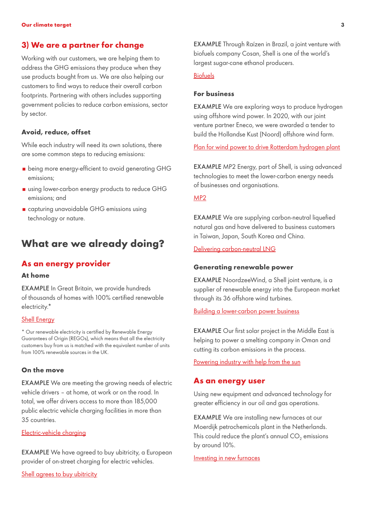# **3) We are a partner for change**

Working with our customers, we are helping them to address the GHG emissions they produce when they use products bought from us. We are also helping our customers to fnd ways to reduce their overall carbon footprints. Partnering with others includes supporting government policies to reduce carbon emissions, sector by sector.

# **Avoid, reduce, offset**

While each industry will need its own solutions, there are some common steps to reducing emissions:

- $\blacksquare$  being more energy-efficient to avoid generating GHG emissions;
- using lower-carbon energy products to reduce GHG emissions; and
- capturing unavoidable GHG emissions using technology or nature.

# **What are we already doing?**

# **As an energy provider**

### **At home**

EXAMPLE In Great Britain, we provide hundreds of thousands of homes with 100% certifed renewable electricity.\*

#### [Shell Energy](https://www.shellenergy.co.uk/)

\* Our renewable electricity is certifed by Renewable Energy Guarantees of Origin (REGOs), which means that all the electricity customers buy from us is matched with the equivalent number of units from 100% renewable sources in the UK.

## **On the move**

EXAMPLE We are meeting the growing needs of electric vehicle drivers – at home, at work or on the road. In total, we offer drivers access to more than 185,000 public electric vehicle charging facilities in more than 35 countries.

#### [Electric-vehicle charging](https://www.shell.com/energy-and-innovation/new-energies/electric-vehicle-charging.html)

EXAMPLE We have agreed to buy ubitricity, a European provider of on-street charging for electric vehicles.

[Shell agrees to buy ubitricity](https://www.shell.co.uk/media/2021-media-releases/shell-agrees-to-buy-ubitricity-a-leading-provider-of-on-street-charging-for-electric-vehicles-evs.html)

EXAMPLE Through Raízen in Brazil, a joint venture with biofuels company Cosan, Shell is one of the world's largest sugar-cane ethanol producers.

# [Biofuels](https://www.shell.com/energy-and-innovation/new-energies/biofuels.html#iframe=L3dlYmFwcHMvMjAxOV9CaW9mdWVsc19pbnRlcmFjdGl2ZV9tYXAv)

#### **For business**

EXAMPLE We are exploring ways to produce hydrogen using offshore wind power. In 2020, with our joint venture partner Eneco, we were awarded a tender to build the Hollandse Kust (Noord) offshore wind farm.

[Plan for wind power to drive Rotterdam hydrogen plant](https://www.shell.nl/media/nieuwsberichten/2020/wind-als-energiebron-voor-groene-waterstoffabriek-in-rotterdam.html) 

EXAMPLE MP2 Energy, part of Shell, is using advanced technologies to meet the lower-carbon energy needs of businesses and organisations.

# [MP2](https://www.mp2energy.com/)

**EXAMPLE** We are supplying carbon-neutral liquefied natural gas and have delivered to business customers in Taiwan, Japan, South Korea and China.

[Delivering carbon-neutral LNG](https://www.shell.com/business-customers/trading-and-supply/trading/news-and-media-releases.html) 

# **Generating renewable power**

EXAMPLE NoordzeeWind, a Shell joint venture, is a supplier of renewable energy into the European market through its 36 offshore wind turbines.

#### [Building a lower-carbon power business](https://www.shell.com/energy-and-innovation/new-energies.html#iframe=L3dlYmFwcHMvMjAxOV9uZXdfZW5lcmdpZXNfaW50ZXJhY3RpdmVfbWFwLw)

EXAMPLE Our first solar project in the Middle East is helping to power a smelting company in Oman and cutting its carbon emissions in the process.

[Powering industry with help from the sun](https://www.shell.com/inside-energy/powering-omani-industry-with-help-from-the-sun.html) 

# **As an energy user**

Using new equipment and advanced technology for greater efficiency in our oil and gas operations.

EXAMPLE We are installing new furnaces at our Moerdijk petrochemicals plant in the Netherlands. This could reduce the plant's annual  $CO<sub>2</sub>$  emissions by around 10%.

#### Investing in new furnaces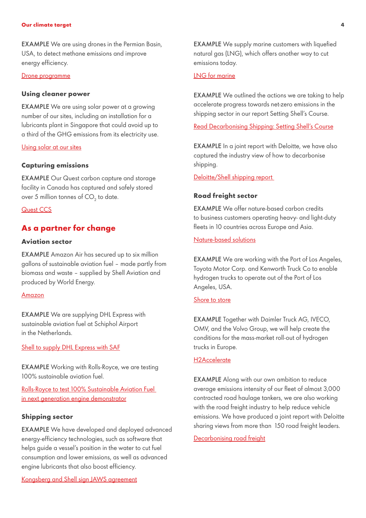#### **Our climate target 4**

EXAMPLE We are using drones in the Permian Basin, USA, to detect methane emissions and improve energy efficiency.

#### [Drone programme](https://www.shell.us/energy-and-innovation/shale-gas-and-oil/drone-development-permian-basin.html)

#### **Using cleaner power**

EXAMPLE We are using solar power at a growing number of our sites, including an installation for a lubricants plant in Singapore that could avoid up to a third of the GHG emissions from its electricity use.

# Using solar at our sites

# **Capturing emissions**

EXAMPLE Our Quest carbon capture and storage facility in Canada has captured and safely stored over 5 million tonnes of CO<sub>2</sub> to date.

### Quest CCS

# **As a partner for change**

#### **Aviation sector**

EXAMPLE Amazon Air has secured up to six million gallons of sustainable aviation fuel – made partly from biomass and waste – supplied by Shell Aviation and produced by World Energy.

# [Amazon](https://blog.aboutamazon.com/operations/promoting-a-more-sustainable-future-through-amazon-air)

EXAMPLE We are supplying DHL Express with sustainable aviation fuel at Schiphol Airport in the Netherlands.

[Shell to supply DHL Express with SAF](https://www.shell.com/business-customers/aviation/news-and-media-releases/news-and-media-2020/shell-to-supply-dhl-express-with-sustainable-aviation-fuel-at-schiphol-airport.html) 

EXAMPLE Working with Rolls-Royce, we are testing 100% sustainable aviation fuel.

[Rolls-Royce to test 100% Sustainable Aviation Fuel](https://www.rolls-royce.com/media/press-releases/2020/12-11-2020-rr-to-test-100-percent-sustainable-aviation-fuel-in-next-generation-engine-demonstrator.aspx#:~:text=generation%20engine%20demonstrator-,Rolls%2DRoyce%20to%20test%20100%25%20Sustainable%20Aviation%20Fuel,in%20next%20generation%20engine%20demonstrator&text=As%20part%20of%20its%20ongoing,on%20next%2Dgeneration%20engine%20technology.)  [in next generation engine demonstrator](https://www.rolls-royce.com/media/press-releases/2020/12-11-2020-rr-to-test-100-percent-sustainable-aviation-fuel-in-next-generation-engine-demonstrator.aspx#:~:text=generation%20engine%20demonstrator-,Rolls%2DRoyce%20to%20test%20100%25%20Sustainable%20Aviation%20Fuel,in%20next%20generation%20engine%20demonstrator&text=As%20part%20of%20its%20ongoing,on%20next%2Dgeneration%20engine%20technology.) 

#### **Shipping sector**

EXAMPLE We have developed and deployed advanced energy-efficiency technologies, such as software that helps guide a vessel's position in the water to cut fuel consumption and lower emissions, as well as advanced engine lubricants that also boost efficiency.

[Kongsberg and Shell sign JAWS agreement](https://www.kongsberg.com/maritime/about-us/news-and-media/news-archive/2020/kongsberg-and-shell-sign-jaws-agreement/) 

**EXAMPLE** We supply marine customers with liquefied natural gas (LNG), which offers another way to cut emissions today.

#### [LNG for marine](https://www.shell.com/energy-and-innovation/natural-gas/lng-for-transport/lng-for-marine.html#iframe=L2Zvcm1zL2VuX2diX3doYXRfbG5nX2Nhbl9kb19mb3JfeW91cl9idXNpbmVzcz91cmw9bG5nLWZvci1tYXJpbmU)

EXAMPLE We outlined the actions we are taking to help accelerate progress towards net-zero emissions in the shipping sector in our report Setting Shell's Course.

[Read Decarbonising Shipping: Setting Shell's Course](http://www.shell.com/DecarbonisingShipping) 

EXAMPLE In a joint report with Deloitte, we have also captured the industry view of how to decarbonise shipping.

[Deloitte/Shell shipping report](https://www.shell.com/energy-and-innovation/the-energy-future/decarbonising-shipping.html) 

#### **Road freight sector**

EXAMPLE We offer nature-based carbon credits to business customers operating heavy- and light-duty fleets in 10 countries across Europe and Asia.

#### [Nature-based solutions](https://www.shell.com/energy-and-innovation/new-energies/nature-based-solutions.html#iframe=L3dlYmFwcHMvMjAxOV9uYXR1cmVfYmFzZWRfc29sdXRpb25zL3VwZGF0ZS8)

EXAMPLE We are working with the Port of Los Angeles, Toyota Motor Corp. and Kenworth Truck Co to enable hydrogen trucks to operate out of the Port of Los Angeles, USA.

## [Shore to store](https://www.trucks.com/2018/09/17/toyota-kenworth-shell-partner-port-la-fuel-cell-project/)

EXAMPLE Together with Daimler Truck AG, IVECO, OMV, and the Volvo Group, we will help create the conditions for the mass-market roll-out of hydrogen trucks in Europe.

# [H2Accelerate](https://www.shell.com/energy-and-innovation/new-energies/new-energies-media-releases/h2-accelerate-new-collaboration-for-zero-emission-hydrogen-trucking-at-mass-market-scale.html)

EXAMPLE Along with our own ambition to reduce average emissions intensity of our fleet of almost 3,000 contracted road haulage tankers, we are also working with the road freight industry to help reduce vehicle emissions. We have produced a joint report with Deloitte sharing views from more than 150 road freight leaders.

[Decarbonising road freight](https://www.shell.com/energy-and-innovation/the-energy-future/decarbonising-road-freight.html)